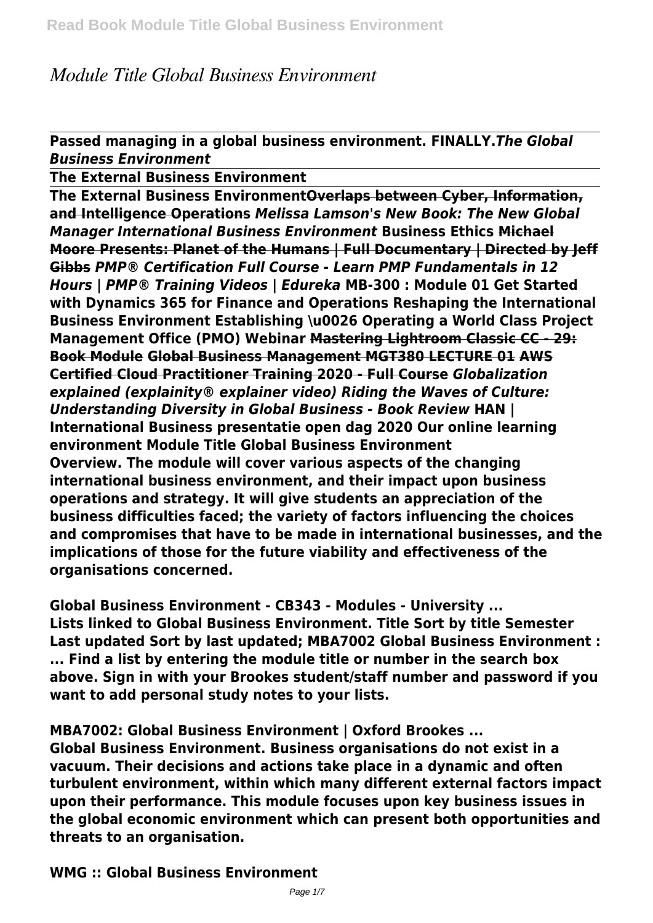# *Module Title Global Business Environment*

**Passed managing in a global business environment. FINALLY.***The Global Business Environment*

**The External Business Environment**

**The External Business EnvironmentOverlaps between Cyber, Information, and Intelligence Operations** *Melissa Lamson's New Book: The New Global Manager International Business Environment* **Business Ethics Michael Moore Presents: Planet of the Humans | Full Documentary | Directed by Jeff Gibbs** *PMP® Certification Full Course - Learn PMP Fundamentals in 12 Hours | PMP® Training Videos | Edureka* **MB-300 : Module 01 Get Started with Dynamics 365 for Finance and Operations Reshaping the International Business Environment Establishing \u0026 Operating a World Class Project Management Office (PMO) Webinar Mastering Lightroom Classic CC - 29: Book Module Global Business Management MGT380 LECTURE 01 AWS Certified Cloud Practitioner Training 2020 - Full Course** *Globalization explained (explainity® explainer video) Riding the Waves of Culture: Understanding Diversity in Global Business - Book Review* **HAN | International Business presentatie open dag 2020 Our online learning environment Module Title Global Business Environment Overview. The module will cover various aspects of the changing international business environment, and their impact upon business operations and strategy. It will give students an appreciation of the business difficulties faced; the variety of factors influencing the choices and compromises that have to be made in international businesses, and the implications of those for the future viability and effectiveness of the organisations concerned.**

**Global Business Environment - CB343 - Modules - University ... Lists linked to Global Business Environment. Title Sort by title Semester Last updated Sort by last updated; MBA7002 Global Business Environment : ... Find a list by entering the module title or number in the search box above. Sign in with your Brookes student/staff number and password if you want to add personal study notes to your lists.**

**MBA7002: Global Business Environment | Oxford Brookes ...**

**Global Business Environment. Business organisations do not exist in a vacuum. Their decisions and actions take place in a dynamic and often turbulent environment, within which many different external factors impact upon their performance. This module focuses upon key business issues in the global economic environment which can present both opportunities and threats to an organisation.**

**WMG :: Global Business Environment**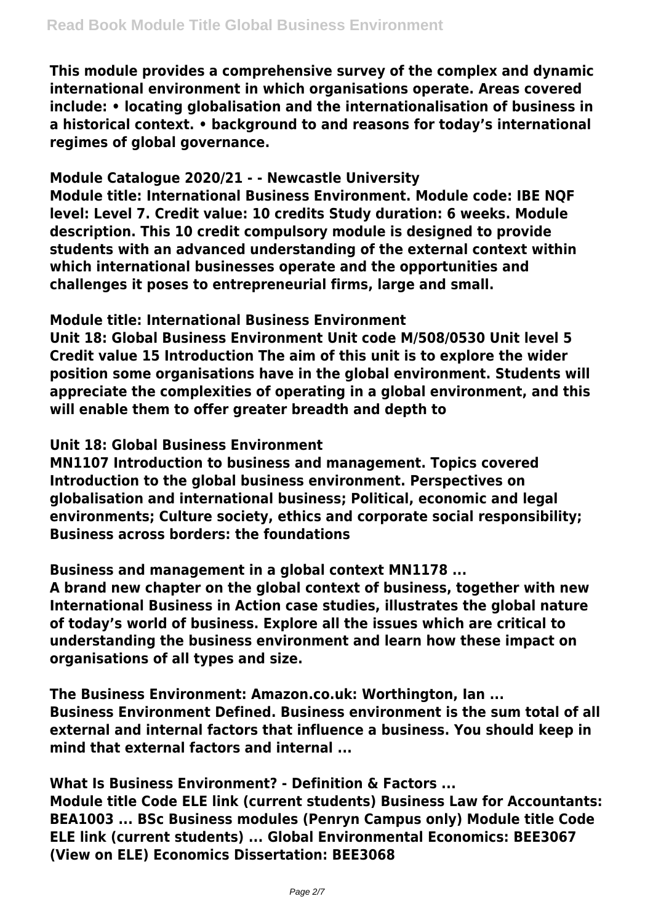**This module provides a comprehensive survey of the complex and dynamic international environment in which organisations operate. Areas covered include: • locating globalisation and the internationalisation of business in a historical context. • background to and reasons for today's international regimes of global governance.**

#### **Module Catalogue 2020/21 - - Newcastle University**

**Module title: International Business Environment. Module code: IBE NQF level: Level 7. Credit value: 10 credits Study duration: 6 weeks. Module description. This 10 credit compulsory module is designed to provide students with an advanced understanding of the external context within which international businesses operate and the opportunities and challenges it poses to entrepreneurial firms, large and small.**

#### **Module title: International Business Environment**

**Unit 18: Global Business Environment Unit code M/508/0530 Unit level 5 Credit value 15 Introduction The aim of this unit is to explore the wider position some organisations have in the global environment. Students will appreciate the complexities of operating in a global environment, and this will enable them to offer greater breadth and depth to**

## **Unit 18: Global Business Environment**

**MN1107 Introduction to business and management. Topics covered Introduction to the global business environment. Perspectives on globalisation and international business; Political, economic and legal environments; Culture society, ethics and corporate social responsibility; Business across borders: the foundations**

#### **Business and management in a global context MN1178 ...**

**A brand new chapter on the global context of business, together with new International Business in Action case studies, illustrates the global nature of today's world of business. Explore all the issues which are critical to understanding the business environment and learn how these impact on organisations of all types and size.**

**The Business Environment: Amazon.co.uk: Worthington, Ian ... Business Environment Defined. Business environment is the sum total of all external and internal factors that influence a business. You should keep in mind that external factors and internal ...**

#### **What Is Business Environment? - Definition & Factors ...**

**Module title Code ELE link (current students) Business Law for Accountants: BEA1003 ... BSc Business modules (Penryn Campus only) Module title Code ELE link (current students) ... Global Environmental Economics: BEE3067 (View on ELE) Economics Dissertation: BEE3068**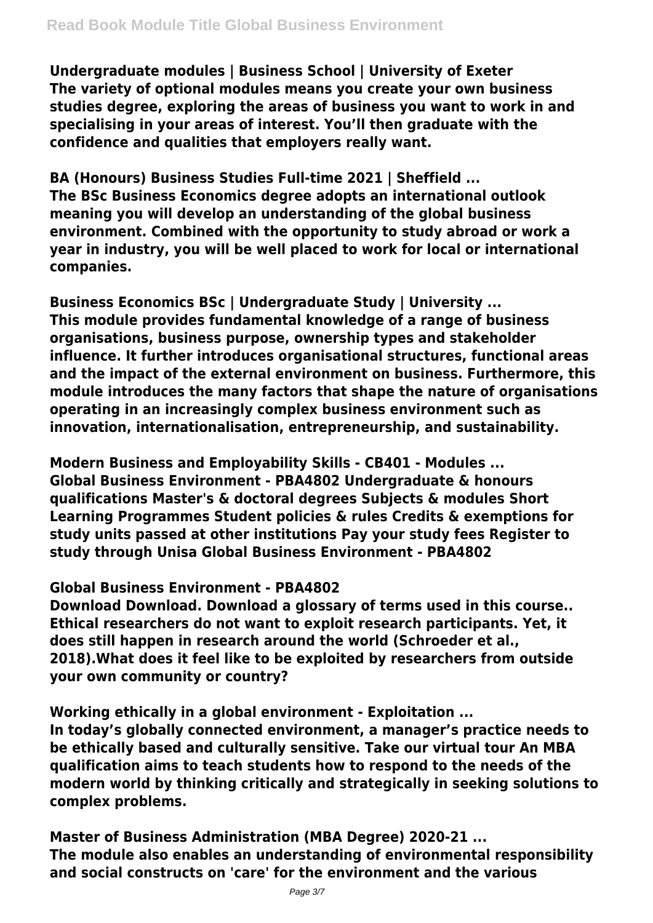**Undergraduate modules | Business School | University of Exeter The variety of optional modules means you create your own business studies degree, exploring the areas of business you want to work in and specialising in your areas of interest. You'll then graduate with the confidence and qualities that employers really want.**

**BA (Honours) Business Studies Full-time 2021 | Sheffield ... The BSc Business Economics degree adopts an international outlook meaning you will develop an understanding of the global business environment. Combined with the opportunity to study abroad or work a year in industry, you will be well placed to work for local or international companies.**

**Business Economics BSc | Undergraduate Study | University ... This module provides fundamental knowledge of a range of business organisations, business purpose, ownership types and stakeholder influence. It further introduces organisational structures, functional areas and the impact of the external environment on business. Furthermore, this module introduces the many factors that shape the nature of organisations operating in an increasingly complex business environment such as innovation, internationalisation, entrepreneurship, and sustainability.**

**Modern Business and Employability Skills - CB401 - Modules ... Global Business Environment - PBA4802 Undergraduate & honours qualifications Master's & doctoral degrees Subjects & modules Short Learning Programmes Student policies & rules Credits & exemptions for study units passed at other institutions Pay your study fees Register to study through Unisa Global Business Environment - PBA4802**

# **Global Business Environment - PBA4802**

**Download Download. Download a glossary of terms used in this course.. Ethical researchers do not want to exploit research participants. Yet, it does still happen in research around the world (Schroeder et al., 2018).What does it feel like to be exploited by researchers from outside your own community or country?**

#### **Working ethically in a global environment - Exploitation ...**

**In today's globally connected environment, a manager's practice needs to be ethically based and culturally sensitive. Take our virtual tour An MBA qualification aims to teach students how to respond to the needs of the modern world by thinking critically and strategically in seeking solutions to complex problems.**

**Master of Business Administration (MBA Degree) 2020-21 ... The module also enables an understanding of environmental responsibility and social constructs on 'care' for the environment and the various**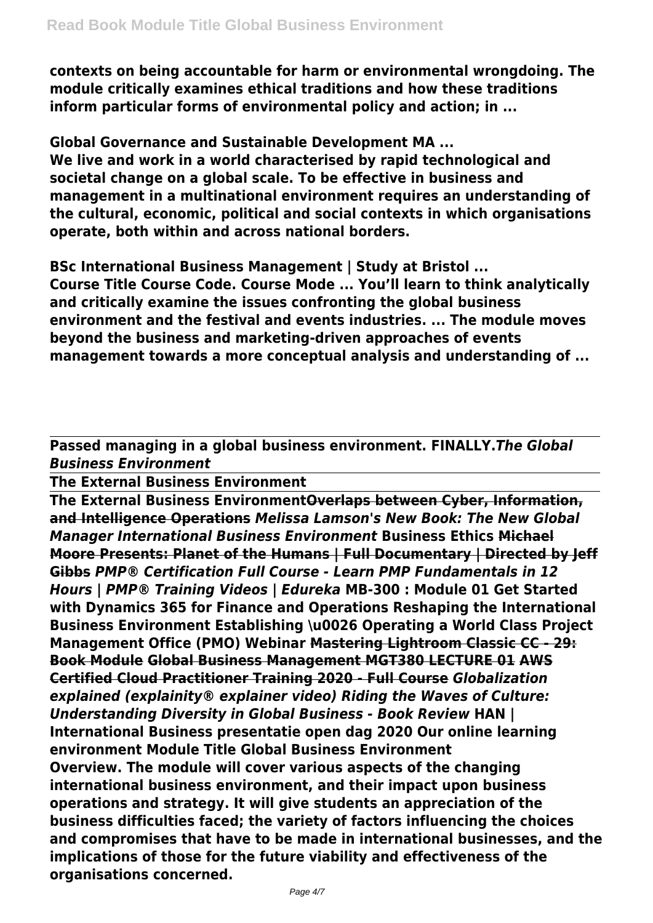**contexts on being accountable for harm or environmental wrongdoing. The module critically examines ethical traditions and how these traditions inform particular forms of environmental policy and action; in ...**

**Global Governance and Sustainable Development MA ... We live and work in a world characterised by rapid technological and societal change on a global scale. To be effective in business and management in a multinational environment requires an understanding of the cultural, economic, political and social contexts in which organisations operate, both within and across national borders.**

**BSc International Business Management | Study at Bristol ... Course Title Course Code. Course Mode ... You'll learn to think analytically and critically examine the issues confronting the global business environment and the festival and events industries. ... The module moves beyond the business and marketing-driven approaches of events management towards a more conceptual analysis and understanding of ...**

**Passed managing in a global business environment. FINALLY.***The Global Business Environment*

**The External Business Environment**

**The External Business EnvironmentOverlaps between Cyber, Information, and Intelligence Operations** *Melissa Lamson's New Book: The New Global Manager International Business Environment* **Business Ethics Michael Moore Presents: Planet of the Humans | Full Documentary | Directed by Jeff Gibbs** *PMP® Certification Full Course - Learn PMP Fundamentals in 12 Hours | PMP® Training Videos | Edureka* **MB-300 : Module 01 Get Started with Dynamics 365 for Finance and Operations Reshaping the International Business Environment Establishing \u0026 Operating a World Class Project Management Office (PMO) Webinar Mastering Lightroom Classic CC - 29: Book Module Global Business Management MGT380 LECTURE 01 AWS Certified Cloud Practitioner Training 2020 - Full Course** *Globalization explained (explainity® explainer video) Riding the Waves of Culture: Understanding Diversity in Global Business - Book Review* **HAN | International Business presentatie open dag 2020 Our online learning environment Module Title Global Business Environment Overview. The module will cover various aspects of the changing international business environment, and their impact upon business operations and strategy. It will give students an appreciation of the business difficulties faced; the variety of factors influencing the choices and compromises that have to be made in international businesses, and the implications of those for the future viability and effectiveness of the organisations concerned.**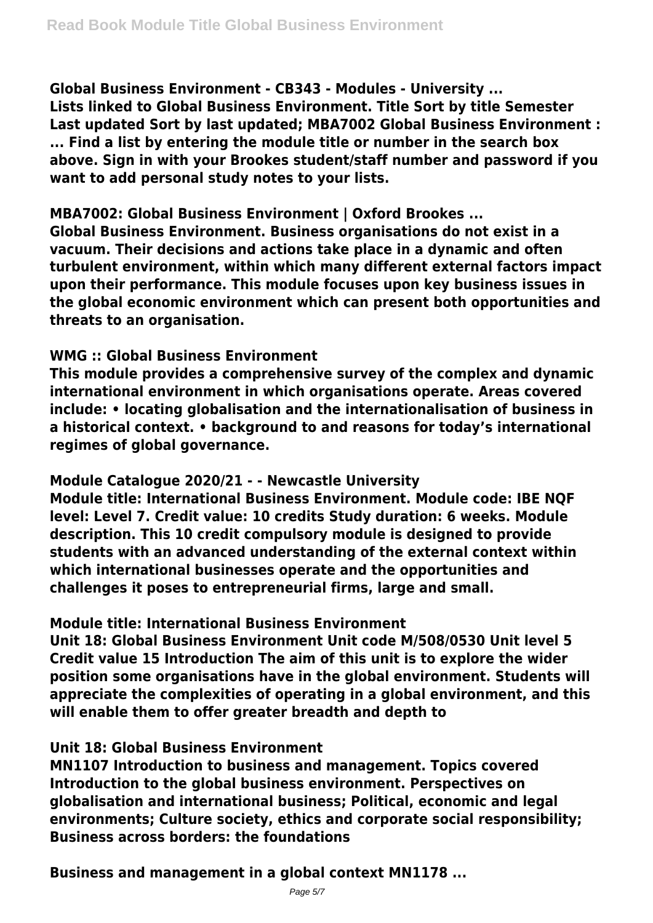**Global Business Environment - CB343 - Modules - University ...**

**Lists linked to Global Business Environment. Title Sort by title Semester Last updated Sort by last updated; MBA7002 Global Business Environment : ... Find a list by entering the module title or number in the search box above. Sign in with your Brookes student/staff number and password if you want to add personal study notes to your lists.**

## **MBA7002: Global Business Environment | Oxford Brookes ...**

**Global Business Environment. Business organisations do not exist in a vacuum. Their decisions and actions take place in a dynamic and often turbulent environment, within which many different external factors impact upon their performance. This module focuses upon key business issues in the global economic environment which can present both opportunities and threats to an organisation.**

# **WMG :: Global Business Environment**

**This module provides a comprehensive survey of the complex and dynamic international environment in which organisations operate. Areas covered include: • locating globalisation and the internationalisation of business in a historical context. • background to and reasons for today's international regimes of global governance.**

#### **Module Catalogue 2020/21 - - Newcastle University**

**Module title: International Business Environment. Module code: IBE NQF level: Level 7. Credit value: 10 credits Study duration: 6 weeks. Module description. This 10 credit compulsory module is designed to provide students with an advanced understanding of the external context within which international businesses operate and the opportunities and challenges it poses to entrepreneurial firms, large and small.**

# **Module title: International Business Environment**

**Unit 18: Global Business Environment Unit code M/508/0530 Unit level 5 Credit value 15 Introduction The aim of this unit is to explore the wider position some organisations have in the global environment. Students will appreciate the complexities of operating in a global environment, and this will enable them to offer greater breadth and depth to**

# **Unit 18: Global Business Environment**

**MN1107 Introduction to business and management. Topics covered Introduction to the global business environment. Perspectives on globalisation and international business; Political, economic and legal environments; Culture society, ethics and corporate social responsibility; Business across borders: the foundations**

**Business and management in a global context MN1178 ...**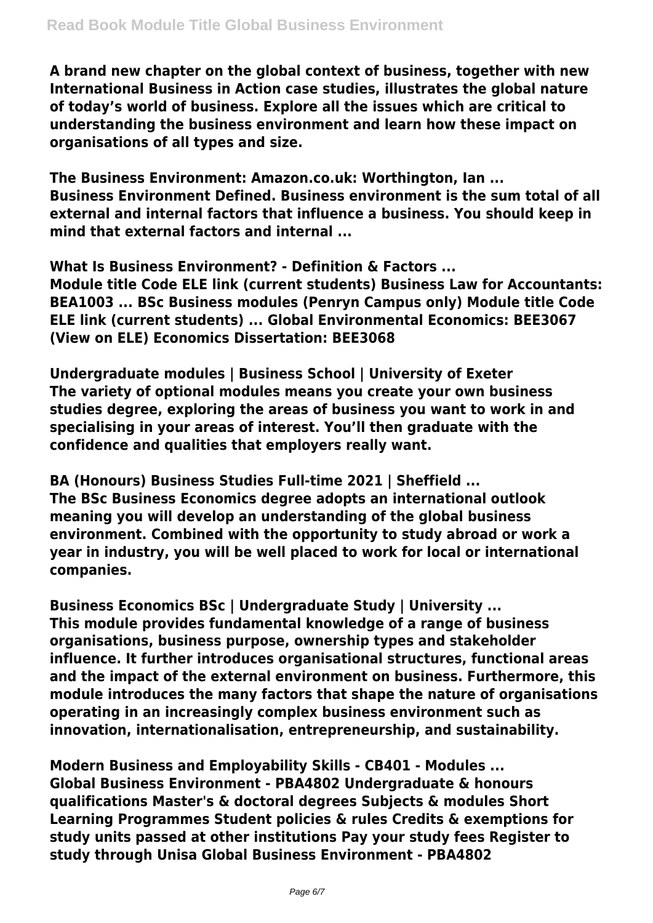**A brand new chapter on the global context of business, together with new International Business in Action case studies, illustrates the global nature of today's world of business. Explore all the issues which are critical to understanding the business environment and learn how these impact on organisations of all types and size.**

**The Business Environment: Amazon.co.uk: Worthington, Ian ... Business Environment Defined. Business environment is the sum total of all external and internal factors that influence a business. You should keep in mind that external factors and internal ...**

**What Is Business Environment? - Definition & Factors ... Module title Code ELE link (current students) Business Law for Accountants: BEA1003 ... BSc Business modules (Penryn Campus only) Module title Code ELE link (current students) ... Global Environmental Economics: BEE3067 (View on ELE) Economics Dissertation: BEE3068**

**Undergraduate modules | Business School | University of Exeter The variety of optional modules means you create your own business studies degree, exploring the areas of business you want to work in and specialising in your areas of interest. You'll then graduate with the confidence and qualities that employers really want.**

**BA (Honours) Business Studies Full-time 2021 | Sheffield ... The BSc Business Economics degree adopts an international outlook meaning you will develop an understanding of the global business environment. Combined with the opportunity to study abroad or work a year in industry, you will be well placed to work for local or international companies.**

**Business Economics BSc | Undergraduate Study | University ... This module provides fundamental knowledge of a range of business organisations, business purpose, ownership types and stakeholder influence. It further introduces organisational structures, functional areas and the impact of the external environment on business. Furthermore, this module introduces the many factors that shape the nature of organisations operating in an increasingly complex business environment such as innovation, internationalisation, entrepreneurship, and sustainability.**

**Modern Business and Employability Skills - CB401 - Modules ... Global Business Environment - PBA4802 Undergraduate & honours qualifications Master's & doctoral degrees Subjects & modules Short Learning Programmes Student policies & rules Credits & exemptions for study units passed at other institutions Pay your study fees Register to study through Unisa Global Business Environment - PBA4802**